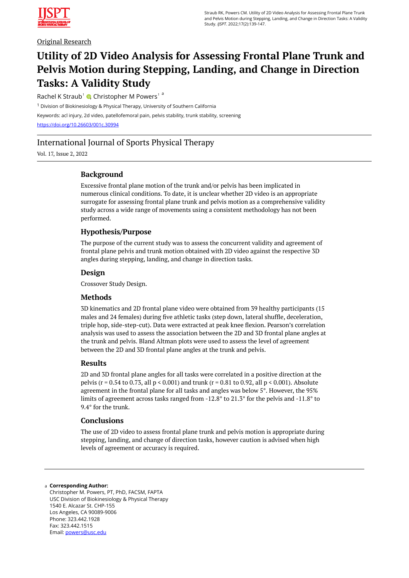

## Original Research

# **Utility of 2D Video Analysis for Assessing Frontal Plane Trunk and Pelvis Motion during Stepping, Landing, and Change in Direction Tasks: A Validity Study**

Rachel K Straub<sup>1</sup> C[,](https://orcid.org/0000-0002-4919-4825) Christopher M Powers<sup>1</sup><sup>a</sup>

<sup>1</sup> Division of Biokinesiology & Physical Therapy, University of Southern California Keywords: acl injury, 2d video, patellofemoral pain, pelvis stability, trunk stability, screening <https://doi.org/10.26603/001c.30994>

# International Journal of Sports Physical Therapy

Vol. 17, Issue 2, 2022

## **Background**

Excessive frontal plane motion of the trunk and/or pelvis has been implicated in numerous clinical conditions. To date, it is unclear whether 2D video is an appropriate surrogate for assessing frontal plane trunk and pelvis motion as a comprehensive validity study across a wide range of movements using a consistent methodology has not been performed.

## **Hypothesis/Purpose**

The purpose of the current study was to assess the concurrent validity and agreement of frontal plane pelvis and trunk motion obtained with 2D video against the respective 3D angles during stepping, landing, and change in direction tasks.

## **Design**

Crossover Study Design.

## **Methods**

3D kinematics and 2D frontal plane video were obtained from 39 healthy participants (15 males and 24 females) during five athletic tasks (step down, lateral shuffle, deceleration, triple hop, side-step-cut). Data were extracted at peak knee flexion. Pearson's correlation analysis was used to assess the association between the 2D and 3D frontal plane angles at the trunk and pelvis. Bland Altman plots were used to assess the level of agreement between the 2D and 3D frontal plane angles at the trunk and pelvis.

## **Results**

2D and 3D frontal plane angles for all tasks were correlated in a positive direction at the pelvis ( $r = 0.54$  to 0.73, all  $p \le 0.001$ ) and trunk ( $r = 0.81$  to 0.92, all  $p \le 0.001$ ). Absolute agreement in the frontal plane for all tasks and angles was below 5°. However, the 95% limits of agreement across tasks ranged from -12.8° to 21.3° for the pelvis and -11.8° to 9.4° for the trunk.

## **Conclusions**

The use of 2D video to assess frontal plane trunk and pelvis motion is appropriate during stepping, landing, and change of direction tasks, however caution is advised when high levels of agreement or accuracy is required.

#### **Corresponding Author:**  a

Christopher M. Powers, PT, PhD, FACSM, FAPTA USC Division of Biokinesiology & Physical Therapy 1540 E. Alcazar St. CHP-155 Los Angeles, CA 90089-9006 Phone: 323.442.1928 Fax: 323.442.1515 Email: [powers@usc.edu](mailto:powers@usc.edu)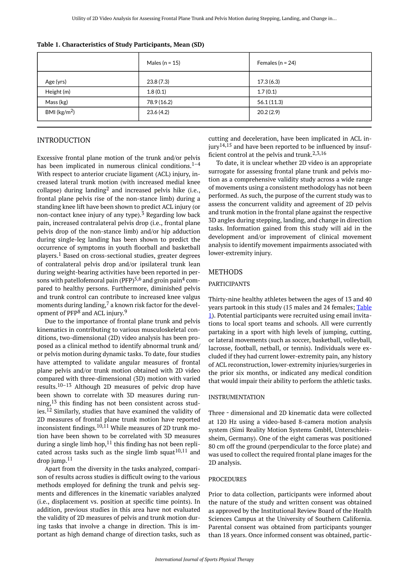|                         | Males ( $n = 15$ ) | Females ( $n = 24$ ) |  |
|-------------------------|--------------------|----------------------|--|
| Age (yrs)               | 23.8(7.3)          | 17.3(6.3)            |  |
| Height (m)              | 1.8(0.1)           | 1.7(0.1)             |  |
| Mass (kg)               | 78.9 (16.2)        | 56.1(11.3)           |  |
| BMI ( $\text{kg/m}^2$ ) | 23.6(4.2)          | 20.2(2.9)            |  |

<span id="page-1-0"></span>**Table 1. Characteristics of Study Participants, Mean (SD)** 

## INTRODUCTION

Excessive frontal plane motion of the trunk and/or pelvis has been implicated in numerous clinical conditions. $1-4$ With respect to anterior cruciate ligament (ACL) injury, increased lateral trunk motion (with increased medial knee collapse) during landing<sup>2</sup> and increased pelvis hike (i.e., frontal plane pelvis rise of the non-stance limb) during a standing knee lift have been shown to predict ACL injury (or non-contact knee injury of any type).<sup>3</sup> Regarding low back pain, increased contralateral pelvis drop (i.e., frontal plane pelvis drop of the non-stance limb) and/or hip adduction during single-leg landing has been shown to predict the occurrence of symptoms in youth floorball and basketball players.<sup>1</sup> Based on cross-sectional studies, greater degrees of contralateral pelvis drop and/or ipsilateral trunk lean during weight-bearing activities have been reported in persons with patellofemoral pain (PFP)<sup>5,6</sup> and groin pain<sup>4</sup> compared to healthy persons. Furthermore, diminished pelvis and trunk control can contribute to increased knee valgus moments during landing, $<sup>7</sup>$  a known risk factor for the devel-</sup> opment of PFP<sup>8</sup> and ACL injury.<sup>9</sup>

Due to the importance of frontal plane trunk and pelvis kinematics in contributing to various musculoskeletal conditions, two-dimensional (2D) video analysis has been proposed as a clinical method to identify abnormal trunk and/ or pelvis motion during dynamic tasks. To date, four studies have attempted to validate angular measures of frontal plane pelvis and/or trunk motion obtained with 2D video compared with three-dimensional (3D) motion with varied results.10–13 Although 2D measures of pelvic drop have been shown to correlate with 3D measures during running,<sup>13</sup> this finding has not been consistent across studies.<sup>12</sup> Similarly, studies that have examined the validity of 2D measures of frontal plane trunk motion have reported inconsistent findings.<sup>10,11</sup> While measures of 2D trunk motion have been shown to be correlated with 3D measures during a single limb hop,  $11$  this finding has not been replicated across tasks such as the single limb squat<sup>10,11</sup> and drop jump. $11$ 

Apart from the diversity in the tasks analyzed, comparison of results across studies is difficult owing to the various methods employed for defining the trunk and pelvis segments and differences in the kinematic variables analyzed (i.e., displacement vs. position at specific time points). In addition, previous studies in this area have not evaluated the validity of 2D measures of pelvis and trunk motion during tasks that involve a change in direction. This is important as high demand change of direction tasks, such as cutting and deceleration, have been implicated in ACL injury<sup>14,15</sup> and have been reported to be influenced by insufficient control at the pelvis and trunk.<sup>2,3,16</sup>

To date, it is unclear whether 2D video is an appropriate surrogate for assessing frontal plane trunk and pelvis motion as a comprehensive validity study across a wide range of movements using a consistent methodology has not been performed. As such, the purpose of the current study was to assess the concurrent validity and agreement of 2D pelvis and trunk motion in the frontal plane against the respective 3D angles during stepping, landing, and change in direction tasks. Information gained from this study will aid in the development and/or improvement of clinical movement analysis to identify movement impairments associated with lower-extremity injury.

## METHODS

## PARTICIPANTS

Thirty-nine healthy athletes between the ages of 13 and 40 years partook in this study (15 males and 24 females; [Table](#page-1-0) [1](#page-1-0)). Potential participants were recruited using email invitations to local sport teams and schools. All were currently partaking in a sport with high levels of jumping, cutting, or lateral movements (such as soccer, basketball, volleyball, lacrosse, football, netball, or tennis). Individuals were excluded if they had current lower-extremity pain, any history of ACL reconstruction, lower-extremity injuries/surgeries in the prior six months, or indicated any medical condition that would impair their ability to perform the athletic tasks.

#### INSTRUMENTATION

Three - dimensional and 2D kinematic data were collected at 120 Hz using a video-based 8-camera motion analysis system (Simi Reality Motion Systems GmbH, Unterschleissheim, Germany). One of the eight cameras was positioned 80 cm off the ground (perpendicular to the force plate) and was used to collect the required frontal plane images for the 2D analysis.

#### PROCEDURES

Prior to data collection, participants were informed about the nature of the study and written consent was obtained as approved by the Institutional Review Board of the Health Sciences Campus at the University of Southern California. Parental consent was obtained from participants younger than 18 years. Once informed consent was obtained, partic-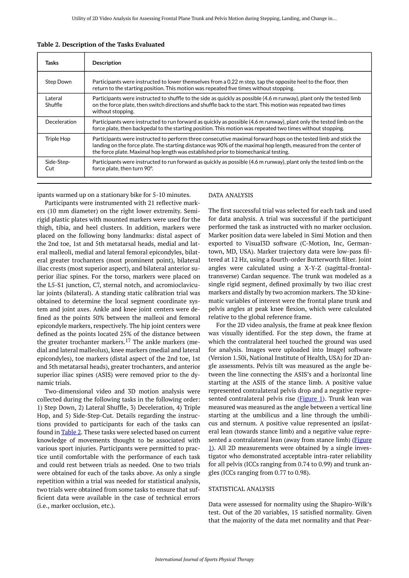| Tasks              | <b>Description</b>                                                                                                                                                                                                                                                                                                         |
|--------------------|----------------------------------------------------------------------------------------------------------------------------------------------------------------------------------------------------------------------------------------------------------------------------------------------------------------------------|
| <b>Step Down</b>   | Participants were instructed to lower themselves from a 0.22 m step, tap the opposite heel to the floor, then<br>return to the starting position. This motion was repeated five times without stopping.                                                                                                                    |
| Lateral<br>Shuffle | Participants were instructed to shuffle to the side as quickly as possible (4.6 m runway), plant only the tested limb<br>on the force plate, then switch directions and shuffle back to the start. This motion was repeated two times<br>without stopping.                                                                 |
| Deceleration       | Participants were instructed to run forward as quickly as possible (4.6 m runway), plant only the tested limb on the<br>force plate, then backpedal to the starting position. This motion was repeated two times without stopping.                                                                                         |
| Triple Hop         | Participants were instructed to perform three consecutive maximal forward hops on the tested limb and stick the<br>landing on the force plate. The starting distance was 90% of the maximal hop length, measured from the center of<br>the force plate. Maximal hop length was established prior to biomechanical testing. |
| Side-Step-<br>Cut  | Participants were instructed to run forward as quickly as possible (4.6 m runway), plant only the tested limb on the<br>force plate, then turn 90°.                                                                                                                                                                        |

#### <span id="page-2-0"></span>**Table 2. Description of the Tasks Evaluated**

ipants warmed up on a stationary bike for 5-10 minutes.

Participants were instrumented with 21 reflective markers (10 mm diameter) on the right lower extremity. Semirigid plastic plates with mounted markers were used for the thigh, tibia, and heel clusters. In addition, markers were placed on the following bony landmarks: distal aspect of the 2nd toe, 1st and 5th metatarsal heads, medial and lateral malleoli, medial and lateral femoral epicondyles, bilateral greater trochanters (most prominent point), bilateral iliac crests (most superior aspect), and bilateral anterior superior iliac spines. For the torso, markers were placed on the L5-S1 junction, C7, sternal notch, and acromioclavicular joints (bilateral). A standing static calibration trial was obtained to determine the local segment coordinate system and joint axes. Ankle and knee joint centers were defined as the points 50% between the malleoi and femoral epicondyle markers, respectively. The hip joint centers were defined as the points located 25% of the distance between the greater trochanter markers.<sup>17</sup> The ankle markers (medial and lateral malleolus), knee markers (medial and lateral epicondyles), toe markers (distal aspect of the 2nd toe, 1st and 5th metatarsal heads), greater trochanters, and anterior superior iliac spines (ASIS) were removed prior to the dynamic trials.

Two-dimensional video and 3D motion analysis were collected during the following tasks in the following order: 1) Step Down, 2) Lateral Shuffle, 3) Deceleration, 4) Triple Hop, and 5) Side-Step-Cut. Details regarding the instructions provided to participants for each of the tasks can found in [Table 2.](#page-2-0) These tasks were selected based on current knowledge of movements thought to be associated with various sport injuries. Participants were permitted to practice until comfortable with the performance of each task and could rest between trials as needed. One to two trials were obtained for each of the tasks above. As only a single repetition within a trial was needed for statistical analysis, two trials were obtained from some tasks to ensure that sufficient data were available in the case of technical errors (i.e., marker occlusion, etc.).

#### DATA ANALYSIS

The first successful trial was selected for each task and used for data analysis. A trial was successful if the participant performed the task as instructed with no marker occlusion. Marker position data were labeled in Simi Motion and then exported to Visual3D software (C-Motion, Inc, Germantown, MD, USA). Marker trajectory data were low-pass filtered at 12 Hz, using a fourth-order Butterworth filter. Joint angles were calculated using a X-Y-Z (sagittal-frontaltransverse) Cardan sequence. The trunk was modeled as a single rigid segment, defined proximally by two iliac crest markers and distally by two acromion markers. The 3D kinematic variables of interest were the frontal plane trunk and pelvis angles at peak knee flexion, which were calculated relative to the global reference frame.

For the 2D video analysis, the frame at peak knee flexion was visually identified. For the step down, the frame at which the contralateral heel touched the ground was used for analysis. Images were uploaded into ImageJ software (Version 1.50i, National Institute of Health, USA) for 2D angle assessments. Pelvis tilt was measured as the angle between the line connecting the ASIS's and a horizontal line starting at the ASIS of the stance limb. A positive value represented contralateral pelvis drop and a negative repre-sented contralateral pelvis rise [\(Figure 1\)](#page-3-0). Trunk lean was measured was measured as the angle between a vertical line starting at the umbilicus and a line through the umbilicus and sternum. A positive value represented an ipsilateral lean (towards stance limb) and a negative value repre-sented a contralateral lean (away from stance limb) ([Figure](#page-3-0) [1](#page-3-0)). All 2D measurements were obtained by a single investigator who demonstrated acceptable intra-rater reliability for all pelvis (ICCs ranging from 0.74 to 0.99) and trunk angles (ICCs ranging from 0.77 to 0.98).

#### STATISTICAL ANALYSIS

Data were assessed for normality using the Shapiro-Wilk's test. Out of the 20 variables, 15 satisfied normality. Given that the majority of the data met normality and that Pear-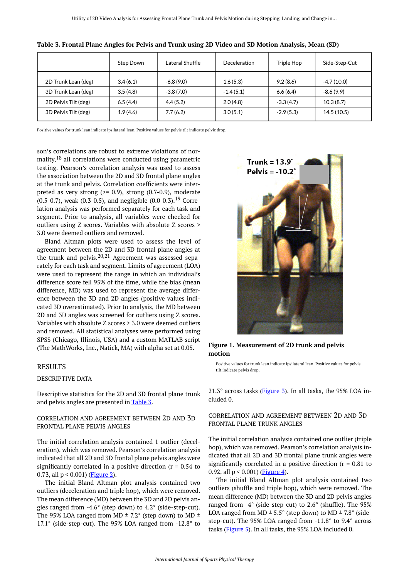|                      | Step Down | Lateral Shuffle | Deceleration | Triple Hop  | Side-Step-Cut |
|----------------------|-----------|-----------------|--------------|-------------|---------------|
| 2D Trunk Lean (deg)  | 3.4(6.1)  | $-6.8(9.0)$     | 1.6(5.3)     | 9.2(8.6)    | $-4.7(10.0)$  |
| 3D Trunk Lean (deg)  | 3.5(4.8)  | $-3.8(7.0)$     | $-1.4(5.1)$  | 6.6(6.4)    | $-8.6(9.9)$   |
| 2D Pelvis Tilt (deg) | 6.5(4.4)  | 4.4(5.2)        | 2.0(4.8)     | $-3.3(4.7)$ | 10.3(8.7)     |
| 3D Pelvis Tilt (deg) | 1.9(4.6)  | 7.7(6.2)        | 3.0(5.1)     | $-2.9(5.3)$ | 14.5(10.5)    |

<span id="page-3-1"></span>

| Table 3. Frontal Plane Angles for Pelvis and Trunk using 2D Video and 3D Motion Analysis, Mean (SD) |  |  |
|-----------------------------------------------------------------------------------------------------|--|--|
|                                                                                                     |  |  |

Positive values for trunk lean indicate ipsilateral lean. Positive values for pelvis tilt indicate pelvic drop.

<span id="page-3-0"></span>son's correlations are robust to extreme violations of normality, <sup>18</sup> all correlations were conducted using parametric testing. Pearson's correlation analysis was used to assess the association between the 2D and 3D frontal plane angles at the trunk and pelvis. Correlation coefficients were interpreted as very strong  $(>= 0.9)$ , strong  $(0.7-0.9)$ , moderate  $(0.5-0.7)$ , weak  $(0.3-0.5)$ , and negligible  $(0.0-0.3)$ , <sup>19</sup> Correlation analysis was performed separately for each task and segment. Prior to analysis, all variables were checked for outliers using Z scores. Variables with absolute Z scores > 3.0 were deemed outliers and removed.

Bland Altman plots were used to assess the level of agreement between the 2D and 3D frontal plane angles at the trunk and pelvis.20,21 Agreement was assessed separately for each task and segment. Limits of agreement (LOA) were used to represent the range in which an individual's difference score fell 95% of the time, while the bias (mean difference, MD) was used to represent the average difference between the 3D and 2D angles (positive values indicated 3D overestimated). Prior to analysis, the MD between 2D and 3D angles was screened for outliers using Z scores. Variables with absolute Z scores > 3.0 were deemed outliers and removed. All statistical analyses were performed using SPSS (Chicago, Illinois, USA) and a custom MATLAB script (The MathWorks, Inc., Natick, MA) with alpha set at 0.05.

#### RESULTS

## DESCRIPTIVE DATA

Descriptive statistics for the 2D and 3D frontal plane trunk and pelvis angles are presented in [Table 3.](#page-3-1)

## CORRELATION AND AGREEMENT BETWEEN 2D AND 3D FRONTAL PLANE PELVIS ANGLES

The initial correlation analysis contained 1 outlier (deceleration), which was removed. Pearson's correlation analysis indicated that all 2D and 3D frontal plane pelvis angles were significantly correlated in a positive direction ( $r = 0.54$  to 0.73, all  $p < 0.001$ ) (**Figure 2**).

The initial Bland Altman plot analysis contained two outliers (deceleration and triple hop), which were removed. The mean difference (MD) between the 3D and 2D pelvis angles ranged from -4.6° (step down) to 4.2° (side-step-cut). The 95% LOA ranged from MD  $\pm$  7.2° (step down) to MD  $\pm$ 17.1° (side-step-cut). The 95% LOA ranged from -12.8° to



**Figure 1. Measurement of 2D trunk and pelvis motion** 

Positive values for trunk lean indicate ipsilateral lean. Positive values for pelvis tilt indicate pelvis drop.

 $21.3^\circ$  across tasks ([Figure 3\)](#page-4-1). In all tasks, the 95% LOA included 0.

## CORRELATION AND AGREEMENT BETWEEN 2D AND 3D FRONTAL PLANE TRUNK ANGLES

The initial correlation analysis contained one outlier (triple hop), which was removed. Pearson's correlation analysis indicated that all 2D and 3D frontal plane trunk angles were significantly correlated in a positive direction  $(r = 0.81)$  to 0.92, all  $p < 0.001$ ) ([Figure 4](#page-5-0)).

The initial Bland Altman plot analysis contained two outliers (shuffle and triple hop), which were removed. The mean difference (MD) between the 3D and 2D pelvis angles ranged from -4° (side-step-cut) to 2.6° (shuffle). The 95% LOA ranged from MD  $\pm$  5.5° (step down) to MD  $\pm$  7.8° (sidestep-cut). The 95% LOA ranged from -11.8° to 9.4° across tasks (*Figure 5*). In all tasks, the 95% LOA included 0.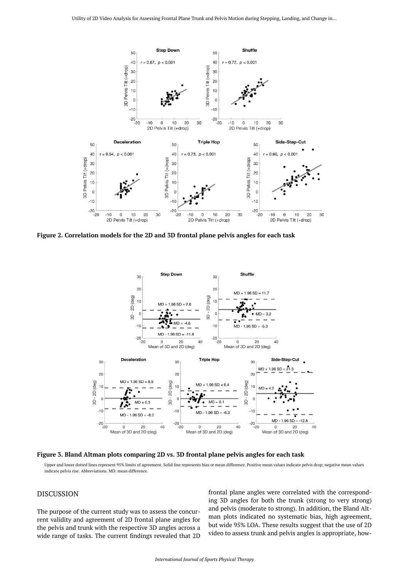<span id="page-4-0"></span>

<span id="page-4-1"></span>**Figure 2. Correlation models for the 2D and 3D frontal plane pelvis angles for each task** 



**Figure 3. Bland Altman plots comparing 2D vs. 3D frontal plane pelvis angles for each task** 

Upper and lower dotted lines represent 95% limits of agreement. Solid line represents bias or mean difference. Positive mean values indicate pelvis drop; negative mean values indicate pelvis rise. Abbreviations. MD: mean difference.

## DISCUSSION

The purpose of the current study was to assess the concurrent validity and agreement of 2D frontal plane angles for the pelvis and trunk with the respective 3D angles across a wide range of tasks. The current findings revealed that 2D

frontal plane angles were correlated with the corresponding 3D angles for both the trunk (strong to very strong) and pelvis (moderate to strong). In addition, the Bland Altman plots indicated no systematic bias, high agreement, but wide 95% LOA. These results suggest that the use of 2D video to assess trunk and pelvis angles is appropriate, how-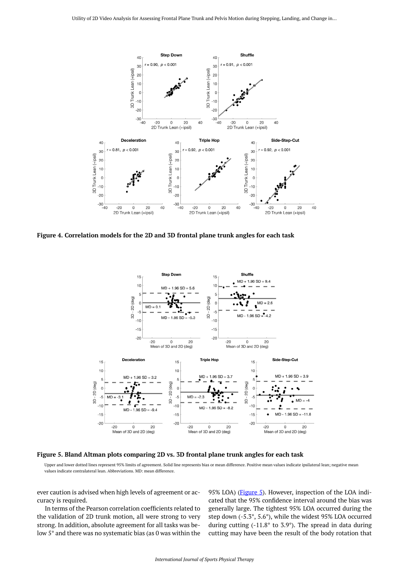<span id="page-5-0"></span>

<span id="page-5-1"></span>**Figure 4. Correlation models for the 2D and 3D frontal plane trunk angles for each task** 



**Figure 5. Bland Altman plots comparing 2D vs. 3D frontal plane trunk angles for each task** 

Upper and lower dotted lines represent 95% limits of agreement. Solid line represents bias or mean difference. Positive mean values indicate ipsilateral lean; negative mean values indicate contralateral lean. Abbreviations. MD: mean difference.

ever caution is advised when high levels of agreement or accuracy is required.

In terms of the Pearson correlation coefficients related to the validation of 2D trunk motion, all were strong to very strong. In addition, absolute agreement for all tasks was below 5° and there was no systematic bias (as 0 was within the

95% LOA) [\(Figure 5](#page-5-1)). However, inspection of the LOA indicated that the 95% confidence interval around the bias was generally large. The tightest 95% LOA occurred during the step down (-5.3°, 5.6°), while the widest 95% LOA occurred during cutting (-11.8° to 3.9°). The spread in data during cutting may have been the result of the body rotation that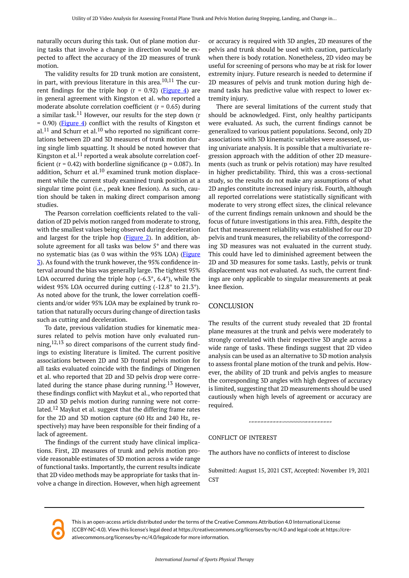naturally occurs during this task. Out of plane motion during tasks that involve a change in direction would be expected to affect the accuracy of the 2D measures of trunk motion.

The validity results for 2D trunk motion are consistent, in part, with previous literature in this area. $10,11$  The current findings for the triple hop  $(r = 0.92)$  [\(Figure 4\)](#page-5-0) are in general agreement with Kingston et al. who reported a moderate absolute correlation coefficient ( $r = 0.65$ ) during a similar task.<sup>11</sup> However, our results for the step down (r  $= 0.90$ ) [\(Figure 4](#page-5-0)) conflict with the results of Kingston et  $al.<sup>11</sup>$  and Schurr et al.<sup>10</sup> who reported no significant correlations between 2D and 3D measures of trunk motion during single limb squatting. It should be noted however that Kingston et al.<sup>11</sup> reported a weak absolute correlation coefficient ( $r = 0.42$ ) with borderline significance ( $p = 0.087$ ). In addition, Schurr et al.<sup>10</sup> examined trunk motion displacement while the current study examined trunk position at a singular time point (i.e., peak knee flexion). As such, caution should be taken in making direct comparison among studies.

The Pearson correlation coefficients related to the validation of 2D pelvis motion ranged from moderate to strong, with the smallest values being observed during deceleration and largest for the triple hop [\(Figure 2](#page-4-0)). In addition, absolute agreement for all tasks was below 5° and there was no systematic bias (as 0 was within the 95% LOA) [\(Figure](#page-4-1)  [3\)](#page-4-1). As found with the trunk however, the 95% confidence interval around the bias was generally large. The tightest 95% LOA occurred during the triple hop  $(-6.3^{\circ}, 6.4^{\circ})$ , while the widest 95% LOA occurred during cutting (-12.8° to 21.3°). As noted above for the trunk, the lower correlation coefficients and/or wider 95% LOA may be explained by trunk rotation that naturally occurs during change of direction tasks such as cutting and deceleration.

To date, previous validation studies for kinematic measures related to pelvis motion have only evaluated running, $12,13$  so direct comparisons of the current study findings to existing literature is limited. The current positive associations between 2D and 3D frontal pelvis motion for all tasks evaluated coincide with the findings of Dingenen et al. who reported that 2D and 3D pelvis drop were correlated during the stance phase during running.<sup>13</sup> However, these findings conflict with Maykut et al., who reported that 2D and 3D pelvis motion during running were not correlated.<sup>12</sup> Maykut et al. suggest that the differing frame rates for the 2D and 3D motion capture (60 Hz and 240 Hz, respectively) may have been responsible for their finding of a lack of agreement.

The findings of the current study have clinical implications. First, 2D measures of trunk and pelvis motion provide reasonable estimates of 3D motion across a wide range of functional tasks. Importantly, the current results indicate that 2D video methods may be appropriate for tasks that involve a change in direction. However, when high agreement or accuracy is required with 3D angles, 2D measures of the pelvis and trunk should be used with caution, particularly when there is body rotation. Nonetheless, 2D video may be useful for screening of persons who may be at risk for lower extremity injury. Future research is needed to determine if 2D measures of pelvis and trunk motion during high demand tasks has predictive value with respect to lower extremity injury.

There are several limitations of the current study that should be acknowledged. First, only healthy participants were evaluated. As such, the current findings cannot be generalized to various patient populations. Second, only 2D associations with 3D kinematic variables were assessed, using univariate analysis. It is possible that a multivariate regression approach with the addition of other 2D measurements (such as trunk or pelvis rotation) may have resulted in higher predictability. Third, this was a cross-sectional study, so the results do not make any assumptions of what 2D angles constitute increased injury risk. Fourth, although all reported correlations were statistically significant with moderate to very strong effect sizes, the clinical relevance of the current findings remain unknown and should be the focus of future investigations in this area. Fifth, despite the fact that measurement reliability was established for our 2D pelvis and trunk measures, the reliability of the corresponding 3D measures was not evaluated in the current study. This could have led to diminished agreement between the 2D and 3D measures for some tasks. Lastly, pelvis or trunk displacement was not evaluated. As such, the current findings are only applicable to singular measurements at peak knee flexion.

#### **CONCLUSION**

The results of the current study revealed that 2D frontal plane measures at the trunk and pelvis were moderately to strongly correlated with their respective 3D angle across a wide range of tasks. These findings suggest that 2D video analysis can be used as an alternative to 3D motion analysis to assess frontal plane motion of the trunk and pelvis. However, the ability of 2D trunk and pelvis angles to measure the corresponding 3D angles with high degrees of accuracy is limited, suggesting that 2D measurements should be used cautiously when high levels of agreement or accuracy are required.

#### CONFLICT OF INTEREST

The authors have no conflicts of interest to disclose

Submitted: August 15, 2021 CST, Accepted: November 19, 2021 **CST** 

This is an open-access article distributed under the terms of the Creative Commons Attribution 4.0 International License (CCBY-NC-4.0). View this license's legal deed at https://creativecommons.org/licenses/by-nc/4.0 and legal code at https://creativecommons.org/licenses/by-nc/4.0/legalcode for more information.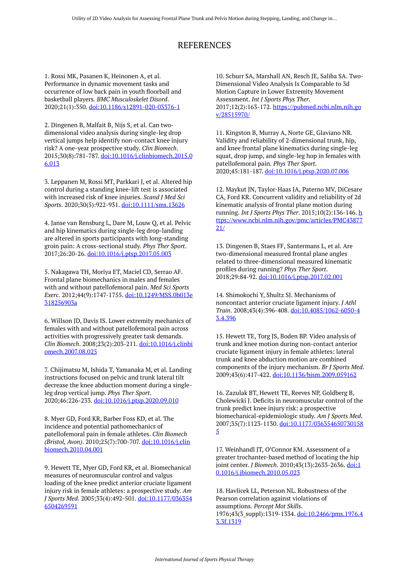# REFERENCES

1. Rossi MK, Pasanen K, Heinonen A, et al. Performance in dynamic movement tasks and occurrence of low back pain in youth floorball and basketball players. *BMC Musculoskelet Disord*. 2020;21(1):350. [doi:10.1186/s12891-020-03376-1](https://doi.org/10.1186/s12891-020-03376-1)

2. Dingenen B, Malfait B, Nijs S, et al. Can twodimensional video analysis during single-leg drop vertical jumps help identify non-contact knee injury risk? A one-year prospective study. *Clin Biomech*. 2015;30(8):781-787. [doi:10.1016/j.clinbiomech.2015.0](https://doi.org/10.1016/j.clinbiomech.2015.06.013) [6.013](https://doi.org/10.1016/j.clinbiomech.2015.06.013)

3. Leppanen M, Rossi MT, Parkkari J, et al. Altered hip control during a standing knee-lift test is associated with increased risk of knee injuries. *Scand J Med Sci Sports*. 2020;30(5):922-931. [doi:10.1111/sms.13626](https://doi.org/10.1111/sms.13626)

4. Janse van Rensburg L, Dare M, Louw Q, et al. Pelvic and hip kinematics during single-leg drop-landing are altered in sports participants with long-standing groin pain: A cross-sectional study. *Phys Ther Sport*. 2017;26:20-26. [doi:10.1016/j.ptsp.2017.05.003](https://doi.org/10.1016/j.ptsp.2017.05.003)

5. Nakagawa TH, Moriya ET, Maciel CD, Serrao AF. Frontal plane biomechanics in males and females with and without patellofemoral pain. *Med Sci Sports Exerc*. 2012;44(9):1747-1755. [doi:10.1249/MSS.0b013e](https://doi.org/10.1249/MSS.0b013e318256903a) [318256903a](https://doi.org/10.1249/MSS.0b013e318256903a) 

6. Willson JD, Davis IS. Lower extremity mechanics of females with and without patellofemoral pain across activities with progressively greater task demands. *Clin Biomech*. 2008;23(2):203-211. [doi:10.1016/j.clinbi](https://doi.org/10.1016/j.clinbiomech.2007.08.025) [omech.2007.08.025](https://doi.org/10.1016/j.clinbiomech.2007.08.025)

7. Chijimatsu M, Ishida T, Yamanaka M, et al. Landing instructions focused on pelvic and trunk lateral tilt decrease the knee abduction moment during a singleleg drop vertical jump. *Phys Ther Sport*. 2020;46:226-233. [doi:10.1016/j.ptsp.2020.09.010](https://doi.org/10.1016/j.ptsp.2020.09.010) 

8. Myer GD, Ford KR, Barber Foss KD, et al. The incidence and potential pathomechanics of patellofemoral pain in female athletes. *Clin Biomech (Bristol, Avon)*. 2010;25(7):700-707. [doi:10.1016/j.clin](https://doi.org/10.1016/j.clinbiomech.2010.04.001) [biomech.2010.04.001](https://doi.org/10.1016/j.clinbiomech.2010.04.001) 

9. Hewett TE, Myer GD, Ford KR, et al. Biomechanical measures of neuromuscular control and valgus loading of the knee predict anterior cruciate ligament injury risk in female athletes: a prospective study. *Am J Sports Med*. 2005;33(4):492-501. [doi:10.1177/036354](https://doi.org/10.1177/0363546504269591) [6504269591](https://doi.org/10.1177/0363546504269591) 

10. Schurr SA, Marshall AN, Resch JE, Saliba SA. Two-Dimensional Video Analysis Is Comparable to 3d Motion Capture in Lower Extremity Movement Assessment. *Int J Sports Phys Ther*. 2017;12(2):163-172. [https://pubmed.ncbi.nlm.nih.go](https://pubmed.ncbi.nlm.nih.gov/28515970/) [v/28515970/](https://pubmed.ncbi.nlm.nih.gov/28515970/) 

11. Kingston B, Murray A, Norte GE, Glaviano NR. Validity and reliability of 2-dimensional trunk, hip, and knee frontal plane kinematics during single-leg squat, drop jump, and single-leg hop in females with patellofemoral pain. *Phys Ther Sport*. 2020;45:181-187. [doi:10.1016/j.ptsp.2020.07.006](https://doi.org/10.1016/j.ptsp.2020.07.006) 

12. Maykut JN, Taylor-Haas JA, Paterno MV, DiCesare CA, Ford KR. Concurrent validity and reliability of 2d kinematic analysis of frontal plane motion during running. *Int J Sports Phys Ther*. 2015;10(2):136-146. [h](https://www.ncbi.nlm.nih.gov/pmc/articles/PMC4387721/) [ttps://www.ncbi.nlm.nih.gov/pmc/articles/PMC43877](https://www.ncbi.nlm.nih.gov/pmc/articles/PMC4387721/) [21/](https://www.ncbi.nlm.nih.gov/pmc/articles/PMC4387721/)

13. Dingenen B, Staes FF, Santermans L, et al. Are two-dimensional measured frontal plane angles related to three-dimensional measured kinematic profiles during running? *Phys Ther Sport*. 2018;29:84-92. [doi:10.1016/j.ptsp.2017.02.001](https://doi.org/10.1016/j.ptsp.2017.02.001)

14. Shimokochi Y, Shultz SJ. Mechanisms of noncontact anterior cruciate ligament injury. *J Athl Train*. 2008;43(4):396-408. [doi:10.4085/1062-6050-4](https://doi.org/10.4085/1062-6050-43.4.396) [3.4.396](https://doi.org/10.4085/1062-6050-43.4.396)

15. Hewett TE, Torg JS, Boden BP. Video analysis of trunk and knee motion during non-contact anterior cruciate ligament injury in female athletes: lateral trunk and knee abduction motion are combined components of the injury mechanism. *Br J Sports Med*. 2009;43(6):417-422. [doi:10.1136/bjsm.2009.059162](https://doi.org/10.1136/bjsm.2009.059162)

16. Zazulak BT, Hewett TE, Reeves NP, Goldberg B, Cholewicki J. Deficits in neuromuscular control of the trunk predict knee injury risk: a prospective biomechanical-epidemiologic study. *Am J Sports Med*. 2007;35(7):1123-1130. [doi:10.1177/036354650730158](https://doi.org/10.1177/0363546507301585) [5](https://doi.org/10.1177/0363546507301585)

17. Weinhandl JT, O'Connor KM. Assessment of a greater trochanter-based method of locating the hip joint center. *J Biomech*. 2010;43(13):2633-2636. [doi:1](https://doi.org/10.1016/j.jbiomech.2010.05.023) [0.1016/j.jbiomech.2010.05.023](https://doi.org/10.1016/j.jbiomech.2010.05.023) 

18. Havlicek LL, Peterson NL. Robustness of the Pearson correlation against violations of assumptions. *Percept Mot Skills*. 1976;43(3\_suppl):1319-1334. [doi:10.2466/pms.1976.4](https://doi.org/10.2466/pms.1976.43.3f.1319) [3.3f.1319](https://doi.org/10.2466/pms.1976.43.3f.1319)